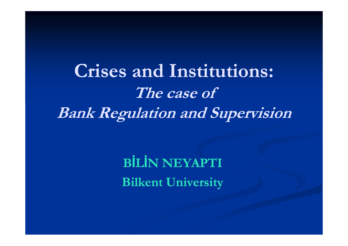**Crises and Institutions: The case ofBank Regulation and Supervision**

> **B L İN NEYAPTI İBilkent University**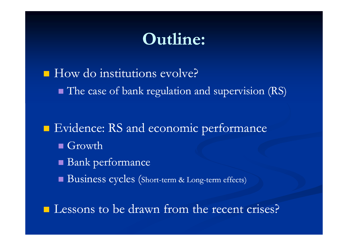# **Outline:**

How do institutions evolve?  $\blacksquare$  The case of bank regulation and supervision (RS) Evidence: RS and economic performance ■ Growth Bank performance Business cycles ( Short-term & Long-term effects) **Lessons to be drawn from the recent crises?**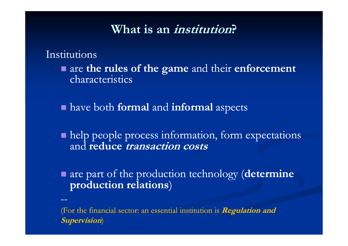## **What is an institution?**

Institutions

--

 are **the rules of the game** and their **enforcement** characteristics

have both **formal** and **informal** aspects

 $\blacksquare$  help people process information, form expectations and **reduce transaction costs**

**are part of the production technology (determine production relations**)

(For the financial sector: an essential institution is **Regulation and Supervision**)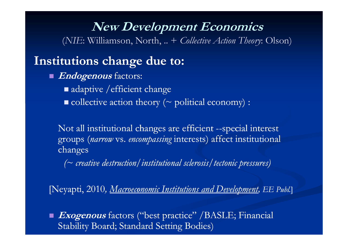## **New Development Economics**

(NIE: Williamson, North, .. + *Collective Action Theory*: Olson)

## **Institutions chan ge due to:**

**Endogenous** factors:

adaptive / efficient change

 $\blacksquare$  collective action theory (~ political economy) :

Not all institutional changes are efficient --special interest groups (*narrow* vs. *encompassing* interests) affect institutional changes

*(~ creative destruction/institutional sclerosis/tectonic pressures)* 

[Neyapti, 2010*, Macroeconomic Institutions and Development Development, EE Publ.*]

 **Exogenous** factors ("best practice" /BASLE; Financial Stability Board; Standard Setting Bodies)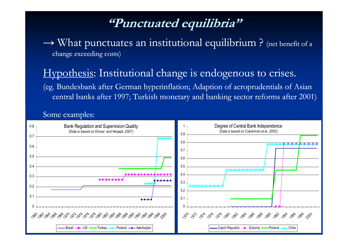## **"Punctuated equilibria"**

 $\rightarrow$  What punctuates an institutional equilibrium ? (net benefit of a change exceeding costs)

#### Hypothesis: Institutional change is endogenous to crises.

(eg. Bundesbank after German hyperinflation; Adaption of acroprudentials of Asian central banks after 1997; Turkish monetary and banking sector reforms after 2001)

#### Some examples:

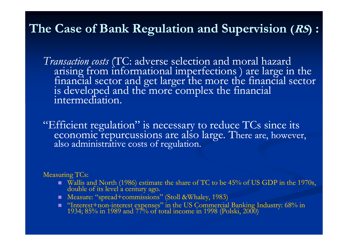## **The Case of Bank Regulation and Supervision (RS) :**

*Transaction costs*  (TC: adverse selection and moral hazard arising from informational imperfections ) are large in the financial sector and get larger the more the financial sector is developed and the more complex the financial intermediation.

"Efficient regulation" is necessary to reduce TCs since its economic repurcussions are also large. There are, however, also administrative costs of regulation.

Measurin g TCs:

- Wallis and North (1986) estimate the share of TC to be 45% of US GDP in the 1970s, double of its level a century ago.
- Measure: "spread+commissions" (Stoll &Whaley, 1983)
- "Interest+non-interest expenses" in the US Commercial Banking Industry: 68% in 1934; 85% in 1989 and 77% of total income in 1998 (Polski, 2000)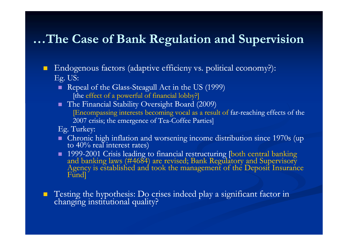#### **…The Case of Bank Regulation and Supervision The Bank**

- $\blacksquare$ **E** Endogenous factors (adaptive efficieny vs. political economy?): Eg. US:
	- Repeal of the Glass-Steagull Act in the US  $(1999)$ [the effect of <sup>a</sup> powerful of financial lobby?]
	- The Financial Stability Oversight Board (2009) Encompassing interests becoming vocal as a result of far-reaching effects of the 2007 crisis; the emergence of Tea-Coffee Parties]
	- Eg. Turkey:
	- Chronic high inflation and worsening income distribution since 1970s (up to  $40\%$  real interest rates)
	- 1999-2001 Crisis leading to financial restructuring [both central banking<br>and banking laws (#4684) are revised; Bank Regulatory and Supervisory<br>Agency is established and took the management of the Deposit Insurance<br>Fund]
- Testing the hypothesis: Do crises indeed play a significant factor in changing institutional quality?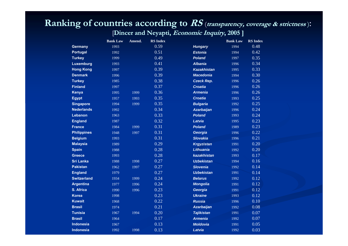## **Ranking of countries according to RS** (**transparency, coverage & strictness** ):

[**Dincer and Neyapti, Economic Inquiry, 2005 ]**

|                    | <b>Bank Law</b> | Amend. | <b>RS</b> Index |                    | <b>Bank Law</b> | <b>RS</b> Index |
|--------------------|-----------------|--------|-----------------|--------------------|-----------------|-----------------|
| Germany            | 1993            |        | 0.59            | <b>Hungary</b>     | 1994            | 0.48            |
| <b>Portugal</b>    | 1992            |        | 0.51            | <b>Estonia</b>     | 1994            | 0.42            |
| <b>Turkey</b>      | 1999            |        | 0.49            | <b>Poland</b>      | 1997            | 0.35            |
| <b>Luxemburg</b>   | 1993            |        | 0.41            | <b>Albania</b>     | 1996            | 0.34            |
| <b>Hong Kong</b>   | 1997            |        | 0.39            | <b>Kazakhistan</b> | 1995            | 0.33            |
| <b>Denmark</b>     | 1996            |        | 0.39            | <b>Macedonia</b>   | 1994            | 0.30            |
| <b>Turkey</b>      | 1985            |        | 0.38            | <b>Czeck Rep.</b>  | 1996            | 0.26            |
| <b>Finland</b>     | 1997            |        | 0.37            | <b>Croatia</b>     | 1996            | 0.26            |
| Kenya              | 1995            | 1999   | 0.36            | <b>Armenia</b>     | 1996            | 0.26            |
| <b>Egypt</b>       | 1957            | 1993   | 0.35            | <b>Croatia</b>     | 1993            | 0.25            |
| <b>Singapore</b>   | 1994            | 1999   | 0.35            | <b>Bulgaria</b>    | 1992            | 0.25            |
| <b>Nederlands</b>  | 1992            |        | 0.34            | <b>Azarbaijan</b>  | 1996            | 0.24            |
| Lebanon            | 1963            |        | 0.33            | <b>Poland</b>      | 1993            | 0.24            |
| <b>England</b>     | 1987            |        | 0.32            | Latvia             | 1995            | 0.23            |
| <b>France</b>      | 1984            | 1999   | 0.31            | <b>Poland</b>      | 1989            | 0.23            |
| <b>Philippines</b> | 1948            | 1997   | 0.31            | Georgia            | 1996            | 0.22            |
| <b>Belgium</b>     | 1993            |        | 0.31            | <b>Slovakia</b>    | 1996            | 0.21            |
| <b>Malaysia</b>    | 1989            |        | 0.29            | <b>Krgyzistan</b>  | 1991            | 0.20            |
| <b>Spain</b>       | 1988            |        | 0.28            | Lithuania          | 1992            | 0.20            |
| <b>Greece</b>      | 1993            |        | 0.28            | kazakhistan        | 1993            | 0.17            |
| <b>Sri Lanka</b>   | 1988            | 1998   | 0.27            | <b>Uzbekistan</b>  | 1994            | 0.16            |
| <b>Pakistan</b>    | 1962            | 1997   | 0.27            | <b>Slovenia</b>    | 1992            | 0.14            |
| <b>England</b>     | 1979            |        | 0.27            | <b>Uzbekistan</b>  | 1991            | 0.14            |
| <b>Switzerland</b> | 1934            | 1999   | 0.24            | <b>Belarus</b>     | 1992            | 0.12            |
| <b>Argentina</b>   | 1977            | 1996   | 0.24            | <b>Mongolia</b>    | 1991            | 0.12            |
| S. Africa          | 1990            | 1996   | 0.23            | Georgia            | 1991            | 0.12            |
| <b>Korea</b>       | 1998            |        | 0.23            | <b>Ukraine</b>     | 1993            | 0.12            |
| <b>Kuwait</b>      | 1968            |        | 0.22            | <b>Russia</b>      | 1996            | 0.10            |
| <b>Brasil</b>      | 1974            |        | 0.21            | <b>Azarbaijan</b>  | 1992            | 0.08            |
| <b>Tunisia</b>     | 1967            | 1994   | 0.20            | <b>Tajikistan</b>  | 1991            | 0.07            |
| <b>Brasil</b>      | 1964            |        | 0.17            | <b>Armenia</b>     | 1992            | 0.07            |
| <b>Indonesia</b>   | 1967            |        | 0.13            | <b>Moldovia</b>    | 1991            | 0.05            |
| Indonesia          | 1992            | 1998   | 0.13            | Latvia             | 1992            | 0.03            |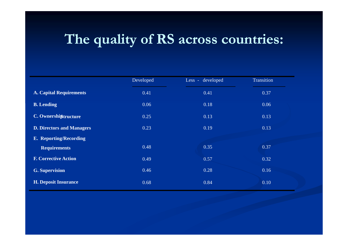## **The quality of RS across countries:**

|                                  | Developed | developed<br>$Less -$ | Transition |
|----------------------------------|-----------|-----------------------|------------|
| <b>A. Capital Requirements</b>   | 0.41      | 0.41                  | 0.37       |
| <b>B.</b> Lending                | 0.06      | 0.18                  | 0.06       |
| C. Ownershißtructure             | 0.25      | 0.13                  | 0.13       |
| <b>D. Directors and Managers</b> | 0.23      | 0.19                  | 0.13       |
| <b>E. Reporting/Recording</b>    |           |                       |            |
| <b>Requirements</b>              | 0.48      | 0.35                  | 0.37       |
| <b>F. Corrective Action</b>      | 0.49      | 0.57                  | 0.32       |
| <b>G. Supervision</b>            | 0.46      | 0.28                  | 0.16       |
| <b>H. Deposit Insurance</b>      | 0.68      | 0.84                  | 0.10       |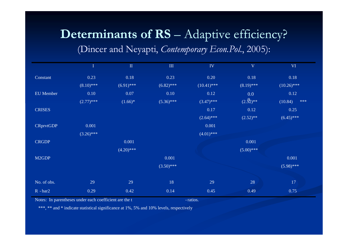## **Determinants of RS** – Adaptive efficiency?

(Dincer and Neyapti, *Contemporary Econ.Pol*., 2005):

|                  | $\bar{\rm I}$                                          | $\rm II$            | $\mathbf{III}$ | IV            | $\mathbf{V}$         | <b>VI</b>        |
|------------------|--------------------------------------------------------|---------------------|----------------|---------------|----------------------|------------------|
| Constant         | 0.23                                                   | 0.18                | 0.23           | 0.20          | 0.18                 | $0.18\,$         |
|                  | $(8.10)$ ***                                           | $(6.91)$ ***        | $(6.82)$ ***   | $(10.41)$ *** | $(8.19)$ ***         | $(10.26)$ ***    |
| <b>EU</b> Member | 0.10                                                   | 0.07                | 0.10           | 0.12          | 0.0                  | 0.12             |
|                  | $(2.77)$ ***                                           | $(1.66)*$           | $(5.36)$ ***   | $(3.47)$ ***  | $(2.\frac{9}{2})$ ** | $***$<br>(10.84) |
| <b>CRISES</b>    |                                                        |                     |                | 0.17          | 0.12                 | 0.25             |
|                  |                                                        |                     |                | $(2.64)$ ***  | $(2.52)$ **          | $(6.45)$ ***     |
| <b>CRprvtGDP</b> | 0.001                                                  |                     |                | 0.001         |                      |                  |
|                  | $(3.26)$ ***                                           |                     |                | $(4.01)$ ***  |                      |                  |
| <b>CRGDP</b>     |                                                        | 0.001               |                |               | 0.001                |                  |
|                  |                                                        | $\sqrt{(4.20)}$ *** |                |               | $(5.00)$ ***         |                  |
| M2GDP            |                                                        |                     | 0.001          |               |                      | 0.001            |
|                  |                                                        |                     | $(3.50)$ ***   |               |                      | $(5.98)$ ***     |
| No. of obs.      | 29                                                     | 29                  | 18             | 29            | 28                   | 17               |
| $R - bar2$       | 0.29                                                   | 0.42                | 0.14           | 0.45          | 0.49                 | 0.75             |
|                  | Notes: In parentheses under each coefficient are the t |                     |                | - ratios.     |                      |                  |

\*\*\*, \*\* and \* indicate statistical significance at 1%, 5% and 10% levels, respectively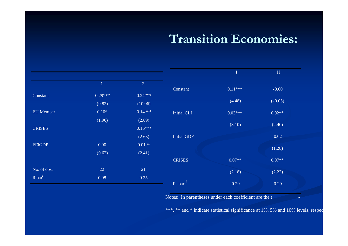#### **Transition Economies:**

|                  |              |                |                    | $\mathbf I$ | $\rm II$  |
|------------------|--------------|----------------|--------------------|-------------|-----------|
|                  | $\mathbf{1}$ | $\overline{2}$ |                    |             |           |
|                  |              |                | Constant           | $0.11***$   | $-0.00$   |
| <b>Constant</b>  | $0.29***$    | $0.24***$      |                    |             |           |
|                  | (9.82)       | (10.06)        |                    | (4.48)      | $(-0.05)$ |
| <b>EU</b> Member | $0.10*$      | $0.14***$      | <b>Initial CLI</b> | $0.03***$   | $0.02**$  |
|                  | (1.90)       | (2.89)         |                    |             |           |
| <b>CRISES</b>    |              | $0.16***$      |                    | (3.10)      | (2.40)    |
|                  |              | (2.63)         | <b>Initial GDP</b> |             | 0.02      |
| <b>FDIGDP</b>    | 0.00         | $0.01**$       |                    |             | (1.28)    |
|                  | (0.62)       | (2.41)         |                    |             |           |
|                  |              |                | <b>CRISES</b>      | $0.07**$    | $0.07**$  |
| No. of obs.      | 22           | 21             |                    | (2.18)      | (2.22)    |
| $R-bar^2$        | $0.08\,$     | 0.25           |                    |             |           |
|                  |              |                | $R$ -bar $2$       | 0.29        | 0.29      |

Notes: In parentheses under each coefficient are the t

\*\*\*, \*\* and \* indicate statistical significance at 1%, 5% and 10% levels, respe c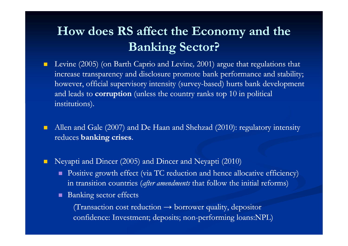## **How does RS affect the Economy and the Banking Sector?**

- **Levine (2005) (on Barth Caprio and Levine, 2001) argue that regulations that** increase transparency and disclosure promote bank performance and stability; however, official supervisory intensity (survey-based) hurts bank development and leads to **corruption** (unless the country ranks top 10 in political institutions).
- $\blacksquare$ Allen and Gale  $(2007)$  and De Haan and Shehzad  $(2010)$ : regulatory intensity reduces **banking crises**.
- $\blacksquare$  Neyapti and Dincer (2005) and Dincer and Neyapti (2010)
	- Positive growth effect (via TC reduction and hence allocative efficiency) in transition countries (*after amendments* that follow the initial reforms)
	- **Banking sector effects**

(Transaction cost reduction  $\rightarrow$  borrower quality, depositor confidence: Investment; deposits; non-performing loans:NPL)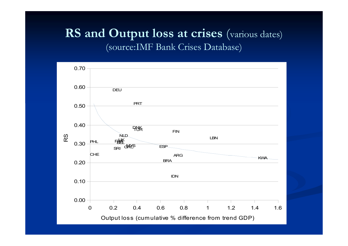#### **RS and Output loss at crises** (various dates) (source:IMF Bank Crises Database)

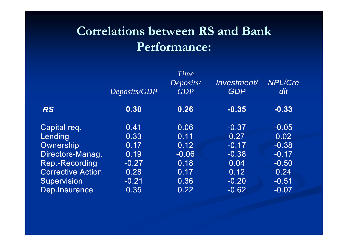## **Correlations between RS and Bank Performance:**

|                          |              | Time       |             |                |
|--------------------------|--------------|------------|-------------|----------------|
|                          |              | Deposits/  | Investment/ | <b>NPL/Cre</b> |
|                          | Deposits/GDP | <b>GDP</b> | <b>GDP</b>  | dit            |
| <b>RS</b>                | 0.30         | 0.26       | $-0.35$     | $-0.33$        |
| Capital req.             | 0.41         | 0.06       | $-0.37$     | $-0.05$        |
| Lending                  | 0.33         | 0.11       | 0.27        | 0.02           |
| Ownership                | 0.17         | 0.12       | $-0.17$     | $-0.38$        |
| Directors-Manag.         | 0.19         | $-0.06$    | $-0.38$     | $-0.17$        |
| Rep.-Recording           | $-0.27$      | 0.18       | 0.04        | $-0.50$        |
| <b>Corrective Action</b> | 0.28         | 0.17       | 0.12        | 0.24           |
| <b>Supervision</b>       | $-0.21$      | 0.36       | $-0.20$     | $-0.51$        |
| Dep.Insurance            | 0.35         | 0.22       | $-0.62$     | $-0.07$        |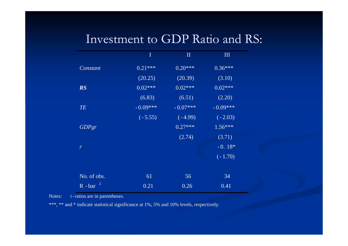#### Investment to GDP Ratio and RS:

|                           | I          | $\mathbf{I}$ | $\overline{\mathbf{H}}$ |
|---------------------------|------------|--------------|-------------------------|
| Constant                  | $0.21***$  | $0.20***$    | $0.36***$               |
|                           | (20.25)    | (20.39)      | (3.10)                  |
| RS                        | $0.02***$  | $0.02***$    | $0.02***$               |
|                           | (6.83)     | (6.51)       | (2.20)                  |
| TE                        | $-0.09***$ | $-0.07***$   | $-0.09***$              |
|                           | $(-5.55)$  | $(-4.99)$    | $(-2.03)$               |
| GDPgr                     |            | $0.27***$    | $1.56***$               |
|                           |            | (2.74)       | (3.71)                  |
| $\mathbf{r}$              |            |              | $-0.18*$                |
|                           |            |              | $(-1.70)$               |
|                           |            |              |                         |
| No. of obs.               | 61         | 56           | 34                      |
| $\mathbf{r}$<br>$R - bar$ | 0.21       | 0.26         | 0.41                    |

Notes: t-ratios are in parentheses.

\*\*\*, \*\* and \* indicate statistical significance at 1%, 5% and 10% levels, respectively.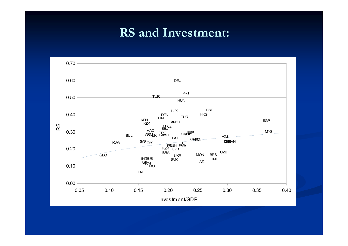#### **RS and Investment:**

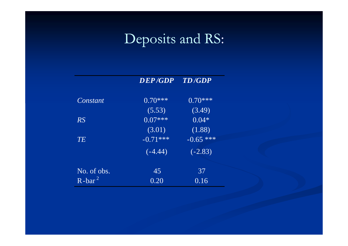# Deposits and RS:

|                        | <b>DEP GDP</b> | <b>TD/GDP</b> |
|------------------------|----------------|---------------|
|                        |                |               |
| Constant               | $0.70***$      | $0.70***$     |
|                        | (5.53)         | (3.49)        |
| RS                     | $0.07***$      | $0.04*$       |
|                        | (3.01)         | (1.88)        |
| <b>TE</b>              | $-0.71***$     | $-0.65$ ***   |
|                        | $(-4.44)$      | $(-2.83)$     |
| No. of obs.            | 45             | 37            |
| $R$ -bar <sup>21</sup> | 0.20           | 0.16          |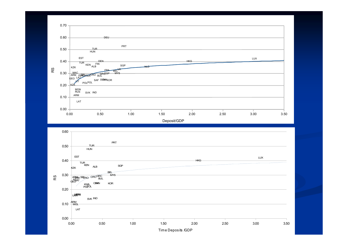

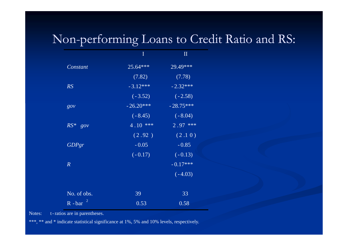## Non-performing Loans to Credit Ratio and RS:

|                             | I           | $\rm II$    |
|-----------------------------|-------------|-------------|
| Constant                    | $25.64***$  | 29.49***    |
|                             | (7.82)      | (7.78)      |
| RS                          | $-3.12***$  | $-2.32***$  |
|                             | $(-3.52)$   | $(-2.58)$   |
| gov                         | $-26.20***$ | $-28.75***$ |
|                             | $(-8.45)$   | $(-8.04)$   |
| $RS^*$<br>gov               | $4.10$ ***  | $2.97$ ***  |
|                             | (2.92)      | (2.10)      |
| GDPgr                       | $-0.05$     | $-0.85$     |
|                             | $(-0.17)$   | $(-0.13)$   |
| $\boldsymbol{R}$            |             | $-0.17***$  |
|                             |             | $(-4.03)$   |
|                             |             |             |
| No. of obs.                 | 39          | 33          |
| $\overline{a}$<br>$R - bar$ | 0.53        | 0.58        |

Notes: t-ratios are in parentheses.

\*\*\*, \*\* and \* indicate statistical significance at 1%, 5% and 10% levels, respectively.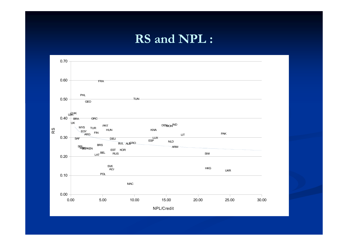## **RS and NPL :**

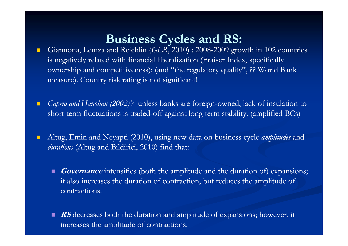#### **Business Cycles and RS: RS:**

- $\blacksquare$ Giannona, Lemza and Reichlin (*GLR*, 2010) : 2008-2009 growth in 102 countries is negatively related with financial liberalization (Fraiser Index, specifically ownership and competitiveness); (and ''the regulatory quality'', ?? World Bank measure). Country risk rating is not significant!
- $\blacksquare$ *Caprio and Hanohan (2002)'s* unless banks are foreign-owned, lack of insulation to short term fluctuations is traded-off against long term stability. (amplified BCs)
- $\blacksquare$  Altug, Emin and Neyapti (2010), using new data on business cycle *amplitudes* and *durations* (Altug and Bildirici, 2010) find that:
	- Governance intensifies (both the amplitude and the duration of) expansions; it also increases the duration of contraction, but reduces the amplitude of contractions.
	- **RS** decreases both the duration and amplitude of expansions; however, it increases the amplitude of contractions.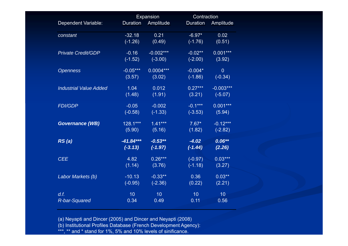|                               |                 | Expansion   | Contraction     |                |
|-------------------------------|-----------------|-------------|-----------------|----------------|
| Dependent Variable:           | <b>Duration</b> | Amplitude   | Duration        | Amplitude      |
|                               |                 |             |                 |                |
| constant                      | $-32.18$        | 0.21        | $-6.97*$        | 0.02           |
|                               | $(-1.26)$       | (0.49)      | $(-1.76)$       | (0.51)         |
|                               |                 |             |                 |                |
| <b>Private Credit/GDP</b>     | $-0.16$         | $-0.002***$ | $-0.02**$       | $0.001***$     |
|                               | $(-1.52)$       | $(-3.00)$   | $(-2.00)$       | (3.92)         |
| <b>Openness</b>               | $-0.05***$      | $0.0004***$ | $-0.004*$       | $\overline{0}$ |
|                               |                 |             | $(-1.86)$       | $(-0.34)$      |
|                               | (3.57)          | (3.02)      |                 |                |
| <b>Industrial Value Added</b> | 1.04            | 0.012       | $0.27***$       | $-0.003***$    |
|                               | (1.48)          | (1.91)      | (3.21)          | $(-5.07)$      |
|                               |                 |             |                 |                |
| <b>FDI/GDP</b>                | $-0.05$         | $-0.002$    | $-0.1***$       | $0.001***$     |
|                               | $(-0.58)$       | $(-1.33)$   | $(-3.53)$       | (5.94)         |
|                               |                 |             |                 |                |
| <b>Governance (WB)</b>        | $128.1***$      | $1.41***$   | $7.67*$         | $-0.12***$     |
|                               | (5.90)          | (5.16)      | (1.82)          | $(-2.82)$      |
| RS(a)                         | $-41.84***$     | $-0.53**$   | $-4.02$         | $0.06**$       |
|                               | $(-3.13)$       | $(-1.97)$   | $(-1.44)$       | (2.26)         |
|                               |                 |             |                 |                |
| <b>CEE</b>                    | 4.82            | $0.26***$   | $(-0.97)$       | $0.03***$      |
|                               | (1.14)          | (3.76)      | $(-1.18)$       | (3.27)         |
|                               |                 |             |                 |                |
| Labor Markets (b)             | $-10.13$        | $-0.33**$   | 0.36            | $0.03***$      |
|                               | $(-0.95)$       | $(-2.36)$   | (0.22)          | (2.21)         |
| d.f.                          | 10              | 10          | 10 <sup>°</sup> | 10             |
| R-bar-Squared                 | 0.34            | 0.49        | 0.11            | 0.56           |
|                               |                 |             |                 |                |

(a) Neyapti and Dincer (2005) and Dincer and Neyapti (2008)

(b) Institutional Profiles Database (French Development Agency):

\*\*\*, \*\* and \* stand for 1%, 5% and 10% levels of sinificance.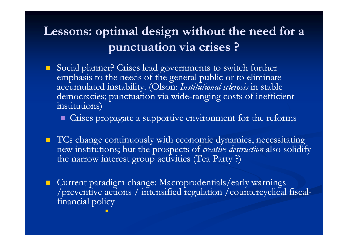## **Lessons: optimal design without the need for a punctuation via crises ?**

Social planner? Crises lead governments to switch further emphasis to the needs of the general public or to eliminate accumulated instability. (Olson: *Institutional sclerosis* in stable democracies; punctuation via wide-ranging costs of inefficient institutions)

Crises propagate a supportive environment for the reforms

- TCs change continuously with economic dynamics, necessitating new institutions; but the prospects of *creative destruction* also solidify the narrow interest group activities (Tea Party ?)
- Current paradigm change: Macroprudentials/early warnings /preventive actions / intensified regulation / countercyclical fiscalfinancial policy